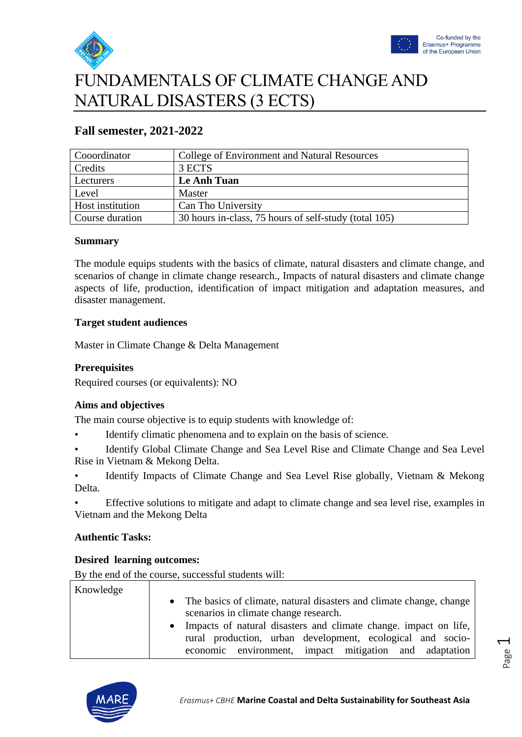



# FUNDAMENTALS OF CLIMATE CHANGE AND NATURAL DISASTERS (3 ECTS)

| Cooordinator     | College of Environment and Natural Resources          |
|------------------|-------------------------------------------------------|
| Credits          | 3 ECTS                                                |
| Lecturers        | Le Anh Tuan                                           |
| Level            | Master                                                |
| Host institution | Can Tho University                                    |
| Course duration  | 30 hours in-class, 75 hours of self-study (total 105) |

## **Fall semester, 2021-2022**

#### **Summary**

The module equips students with the basics of climate, natural disasters and climate change, and scenarios of change in climate change research., Impacts of natural disasters and climate change aspects of life, production, identification of impact mitigation and adaptation measures, and disaster management.

#### **Target student audiences**

Master in Climate Change & Delta Management

#### **Prerequisites**

Required courses (or equivalents): NO

#### **Aims and objectives**

The main course objective is to equip students with knowledge of:

Identify climatic phenomena and to explain on the basis of science.

• Identify Global Climate Change and Sea Level Rise and Climate Change and Sea Level Rise in Vietnam & Mekong Delta.

• Identify Impacts of Climate Change and Sea Level Rise globally, Vietnam & Mekong Delta.

• Effective solutions to mitigate and adapt to climate change and sea level rise, examples in Vietnam and the Mekong Delta

#### **Authentic Tasks:**

#### **Desired learning outcomes:**

By the end of the course, successful students will:

| Knowledge |                                                                               |
|-----------|-------------------------------------------------------------------------------|
|           | The basics of climate, natural disasters and climate change, change           |
|           | scenarios in climate change research.                                         |
|           | Impacts of natural disasters and climate change, impact on life,<br>$\bullet$ |
|           | rural production, urban development, ecological and socio-                    |
|           | environment, impact mitigation and adaptation<br>economic                     |

Page  $\overline{\phantom{0}}$ 

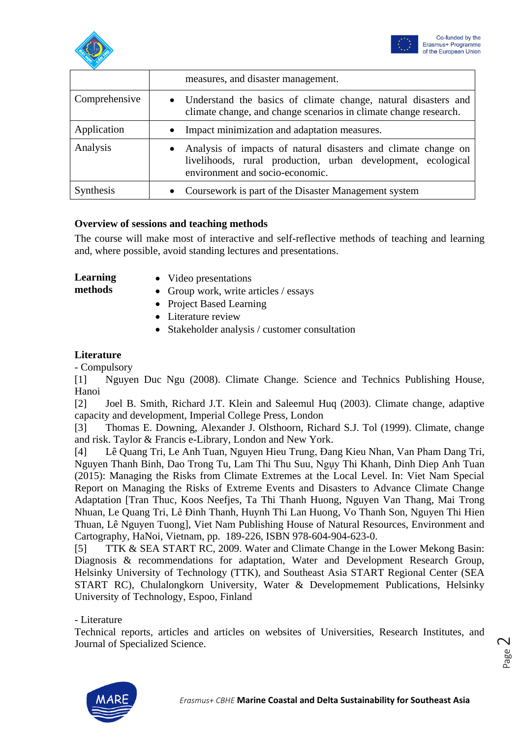



|               | measures, and disaster management.                                                                                                                                  |
|---------------|---------------------------------------------------------------------------------------------------------------------------------------------------------------------|
| Comprehensive | • Understand the basics of climate change, natural disasters and<br>climate change, and change scenarios in climate change research.                                |
| Application   | • Impact minimization and adaptation measures.                                                                                                                      |
| Analysis      | • Analysis of impacts of natural disasters and climate change on<br>livelihoods, rural production, urban development, ecological<br>environment and socio-economic. |
| Synthesis     | Coursework is part of the Disaster Management system                                                                                                                |

#### **Overview of sessions and teaching methods**

The course will make most of interactive and self-reflective methods of teaching and learning and, where possible, avoid standing lectures and presentations.

**Learning** 

• Video presentations

**methods**

- 
- Group work, write articles / essays
- Project Based Learning
- Literature review
- Stakeholder analysis / customer consultation

#### **Literature**

- Compulsory

[1] Nguyen Duc Ngu (2008). Climate Change. Science and Technics Publishing House, Hanoi

[2] Joel B. Smith, Richard J.T. Klein and Saleemul Huq (2003). Climate change, adaptive capacity and development, Imperial College Press, London

[3] Thomas E. Downing, Alexander J. Olsthoorn, Richard S.J. Tol (1999). Climate, change and risk. Taylor & Francis e-Library, London and New York.

[4] Lê Quang Tri, Le Anh Tuan, Nguyen Hieu Trung, Đang Kieu Nhan, Van Pham Dang Tri, Nguyen Thanh Binh, Dao Trong Tu, Lam Thi Thu Suu, Ngụy Thi Khanh, Dinh Diep Anh Tuan (2015): Managing the Risks from Climate Extremes at the Local Level. In: Viet Nam Special Report on Managing the Risks of Extreme Events and Disasters to Advance Climate Change Adaptation [Tran Thuc, Koos Neefjes, Ta Thi Thanh Huong, Nguyen Van Thang, Mai Trong Nhuan, Le Quang Tri, Lê Đinh Thanh, Huynh Thi Lan Huong, Vo Thanh Son, Nguyen Thi Hien Thuan, Lê Nguyen Tuong], Viet Nam Publishing House of Natural Resources, Environment and Cartography, HaNoi, Vietnam, pp. 189-226, ISBN 978-604-904-623-0.

[5] TTK & SEA START RC, 2009. Water and Climate Change in the Lower Mekong Basin: Diagnosis & recommendations for adaptation, Water and Development Research Group, Helsinky University of Technology (TTK), and Southeast Asia START Regional Center (SEA START RC), Chulalongkorn University, Water & Developmement Publications, Helsinky University of Technology, Espoo, Finland

- Literature

Technical reports, articles and articles on websites of Universities, Research Institutes, and Journal of Specialized Science.

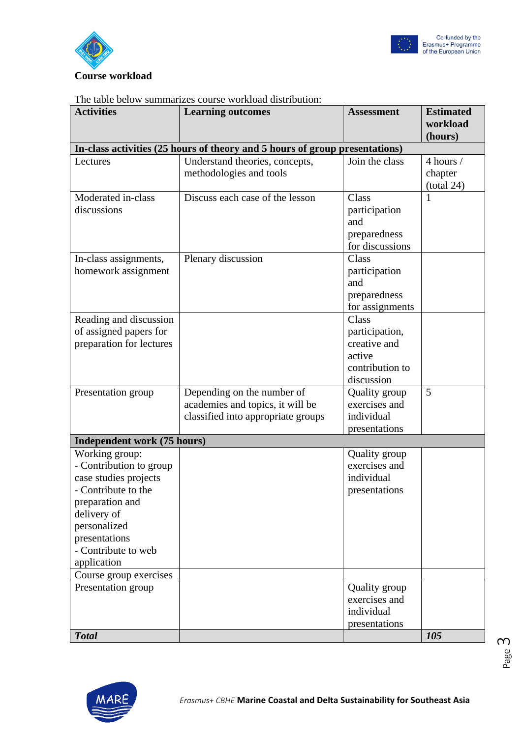



#### The table below summarizes course workload distribution:

| <b>Activities</b>                                                                                                                                                                                  | <b>Learning outcomes</b>                                                                             | <b>Assessment</b>                                                                  | <b>Estimated</b><br>workload       |
|----------------------------------------------------------------------------------------------------------------------------------------------------------------------------------------------------|------------------------------------------------------------------------------------------------------|------------------------------------------------------------------------------------|------------------------------------|
|                                                                                                                                                                                                    | In-class activities (25 hours of theory and 5 hours of group presentations)                          |                                                                                    | (hours)                            |
| Lectures                                                                                                                                                                                           | Understand theories, concepts,<br>methodologies and tools                                            | Join the class                                                                     | 4 hours /<br>chapter<br>(total 24) |
| Moderated in-class<br>discussions                                                                                                                                                                  | Discuss each case of the lesson                                                                      | Class<br>participation<br>and<br>preparedness<br>for discussions                   |                                    |
| In-class assignments,<br>homework assignment                                                                                                                                                       | Plenary discussion                                                                                   | Class<br>participation<br>and<br>preparedness<br>for assignments                   |                                    |
| Reading and discussion<br>of assigned papers for<br>preparation for lectures                                                                                                                       |                                                                                                      | Class<br>participation,<br>creative and<br>active<br>contribution to<br>discussion |                                    |
| Presentation group                                                                                                                                                                                 | Depending on the number of<br>academies and topics, it will be<br>classified into appropriate groups | Quality group<br>exercises and<br>individual<br>presentations                      | 5                                  |
| Independent work (75 hours)                                                                                                                                                                        |                                                                                                      |                                                                                    |                                    |
| Working group:<br>- Contribution to group<br>case studies projects<br>- Contribute to the<br>preparation and<br>delivery of<br>personalized<br>presentations<br>- Contribute to web<br>application |                                                                                                      | Quality group<br>exercises and<br>individual<br>presentations                      |                                    |
| Course group exercises                                                                                                                                                                             |                                                                                                      |                                                                                    |                                    |
| Presentation group                                                                                                                                                                                 |                                                                                                      | Quality group<br>exercises and<br>individual<br>presentations                      |                                    |
| <b>Total</b>                                                                                                                                                                                       |                                                                                                      |                                                                                    | 105                                |

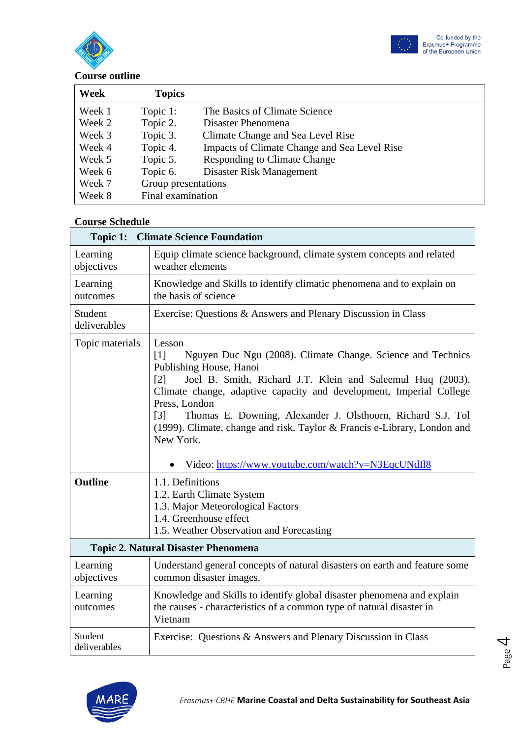



# **Course outline**

| Week   | <b>Topics</b>       |                                              |
|--------|---------------------|----------------------------------------------|
| Week 1 | Topic 1:            | The Basics of Climate Science                |
| Week 2 | Topic 2.            | Disaster Phenomena                           |
| Week 3 | Topic 3.            | Climate Change and Sea Level Rise            |
| Week 4 | Topic 4.            | Impacts of Climate Change and Sea Level Rise |
| Week 5 | Topic 5.            | <b>Responding to Climate Change</b>          |
| Week 6 | Topic 6.            | Disaster Risk Management                     |
| Week 7 | Group presentations |                                              |
| Week 8 | Final examination   |                                              |

#### **Course Schedule**

| Topic 1:                                   | <b>Climate Science Foundation</b>                                                                                                                                                                                                                                                                                                                                                                                                                                                                                                         |  |
|--------------------------------------------|-------------------------------------------------------------------------------------------------------------------------------------------------------------------------------------------------------------------------------------------------------------------------------------------------------------------------------------------------------------------------------------------------------------------------------------------------------------------------------------------------------------------------------------------|--|
| Learning<br>objectives                     | Equip climate science background, climate system concepts and related<br>weather elements                                                                                                                                                                                                                                                                                                                                                                                                                                                 |  |
| Learning<br>outcomes                       | Knowledge and Skills to identify climatic phenomena and to explain on<br>the basis of science                                                                                                                                                                                                                                                                                                                                                                                                                                             |  |
| Student<br>deliverables                    | Exercise: Questions & Answers and Plenary Discussion in Class                                                                                                                                                                                                                                                                                                                                                                                                                                                                             |  |
| Topic materials<br><b>Outline</b>          | Lesson<br>Nguyen Duc Ngu (2008). Climate Change. Science and Technics<br>$\lceil 1 \rceil$<br>Publishing House, Hanoi<br>Joel B. Smith, Richard J.T. Klein and Saleemul Huq (2003).<br>[2]<br>Climate change, adaptive capacity and development, Imperial College<br>Press, London<br>Thomas E. Downing, Alexander J. Olsthoorn, Richard S.J. Tol<br>$\lceil 3 \rceil$<br>(1999). Climate, change and risk. Taylor & Francis e-Library, London and<br>New York.<br>Video: https://www.youtube.com/watch?v=N3EqcUNdIl8<br>1.1. Definitions |  |
|                                            | 1.2. Earth Climate System<br>1.3. Major Meteorological Factors<br>1.4. Greenhouse effect<br>1.5. Weather Observation and Forecasting                                                                                                                                                                                                                                                                                                                                                                                                      |  |
| <b>Topic 2. Natural Disaster Phenomena</b> |                                                                                                                                                                                                                                                                                                                                                                                                                                                                                                                                           |  |
| Learning<br>objectives                     | Understand general concepts of natural disasters on earth and feature some<br>common disaster images.                                                                                                                                                                                                                                                                                                                                                                                                                                     |  |
| Learning<br>outcomes                       | Knowledge and Skills to identify global disaster phenomena and explain<br>the causes - characteristics of a common type of natural disaster in<br>Vietnam                                                                                                                                                                                                                                                                                                                                                                                 |  |
| Student<br>deliverables                    | Exercise: Questions & Answers and Plenary Discussion in Class                                                                                                                                                                                                                                                                                                                                                                                                                                                                             |  |



Page

4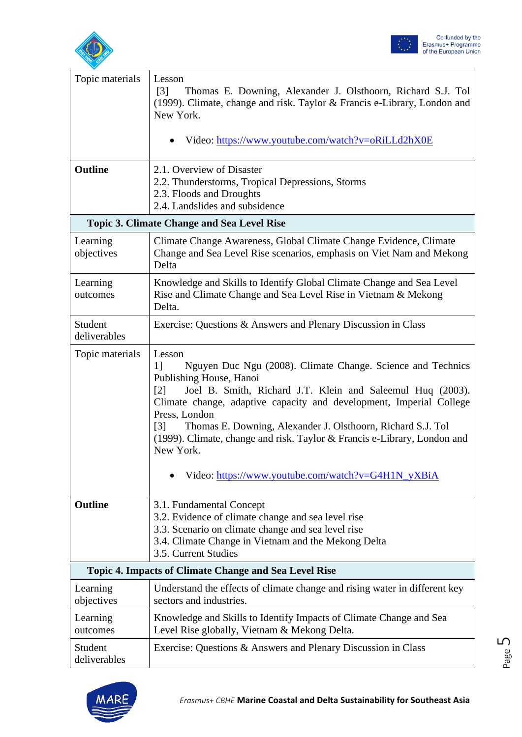



| Topic materials         | Lesson                                                                                                                                                                                                                                                                                                                                                                                                                                                                                                               |
|-------------------------|----------------------------------------------------------------------------------------------------------------------------------------------------------------------------------------------------------------------------------------------------------------------------------------------------------------------------------------------------------------------------------------------------------------------------------------------------------------------------------------------------------------------|
|                         | Thomas E. Downing, Alexander J. Olsthoorn, Richard S.J. Tol<br>$\lceil 3 \rceil$<br>(1999). Climate, change and risk. Taylor & Francis e-Library, London and<br>New York.                                                                                                                                                                                                                                                                                                                                            |
|                         | Video: https://www.youtube.com/watch?v=oRiLLd2hX0E                                                                                                                                                                                                                                                                                                                                                                                                                                                                   |
| <b>Outline</b>          | 2.1. Overview of Disaster<br>2.2. Thunderstorms, Tropical Depressions, Storms<br>2.3. Floods and Droughts<br>2.4. Landslides and subsidence                                                                                                                                                                                                                                                                                                                                                                          |
|                         | <b>Topic 3. Climate Change and Sea Level Rise</b>                                                                                                                                                                                                                                                                                                                                                                                                                                                                    |
| Learning<br>objectives  | Climate Change Awareness, Global Climate Change Evidence, Climate<br>Change and Sea Level Rise scenarios, emphasis on Viet Nam and Mekong<br>Delta                                                                                                                                                                                                                                                                                                                                                                   |
| Learning<br>outcomes    | Knowledge and Skills to Identify Global Climate Change and Sea Level<br>Rise and Climate Change and Sea Level Rise in Vietnam & Mekong<br>Delta.                                                                                                                                                                                                                                                                                                                                                                     |
| Student<br>deliverables | Exercise: Questions & Answers and Plenary Discussion in Class                                                                                                                                                                                                                                                                                                                                                                                                                                                        |
| Topic materials         | Lesson<br>Nguyen Duc Ngu (2008). Climate Change. Science and Technics<br>1]<br>Publishing House, Hanoi<br>Joel B. Smith, Richard J.T. Klein and Saleemul Huq (2003).<br>$\lceil 2 \rceil$<br>Climate change, adaptive capacity and development, Imperial College<br>Press, London<br>Thomas E. Downing, Alexander J. Olsthoorn, Richard S.J. Tol<br>$\lceil 3 \rceil$<br>(1999). Climate, change and risk. Taylor & Francis e-Library, London and<br>New York.<br>Video: https://www.youtube.com/watch?v=G4H1N_yXBiA |
| <b>Outline</b>          | 3.1. Fundamental Concept<br>3.2. Evidence of climate change and sea level rise<br>3.3. Scenario on climate change and sea level rise<br>3.4. Climate Change in Vietnam and the Mekong Delta<br>3.5. Current Studies                                                                                                                                                                                                                                                                                                  |
|                         | <b>Topic 4. Impacts of Climate Change and Sea Level Rise</b>                                                                                                                                                                                                                                                                                                                                                                                                                                                         |
| Learning<br>objectives  | Understand the effects of climate change and rising water in different key<br>sectors and industries.                                                                                                                                                                                                                                                                                                                                                                                                                |
| Learning<br>outcomes    | Knowledge and Skills to Identify Impacts of Climate Change and Sea<br>Level Rise globally, Vietnam & Mekong Delta.                                                                                                                                                                                                                                                                                                                                                                                                   |
| Student<br>deliverables | Exercise: Questions & Answers and Plenary Discussion in Class                                                                                                                                                                                                                                                                                                                                                                                                                                                        |



Page

ഥ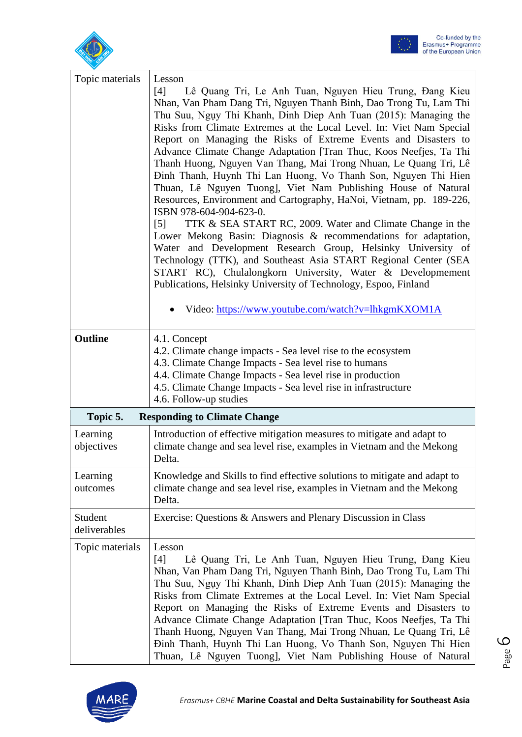



| Topic materials                                 | Lesson<br>Lê Quang Tri, Le Anh Tuan, Nguyen Hieu Trung, Đang Kieu<br>[4]<br>Nhan, Van Pham Dang Tri, Nguyen Thanh Binh, Dao Trong Tu, Lam Thi<br>Thu Suu, Ngụy Thi Khanh, Dinh Diep Anh Tuan (2015): Managing the<br>Risks from Climate Extremes at the Local Level. In: Viet Nam Special<br>Report on Managing the Risks of Extreme Events and Disasters to<br>Advance Climate Change Adaptation [Tran Thuc, Koos Neefjes, Ta Thi<br>Thanh Huong, Nguyen Van Thang, Mai Trong Nhuan, Le Quang Tri, Lê<br>Đinh Thanh, Huynh Thi Lan Huong, Vo Thanh Son, Nguyen Thi Hien<br>Thuan, Lê Nguyen Tuong], Viet Nam Publishing House of Natural<br>Resources, Environment and Cartography, HaNoi, Vietnam, pp. 189-226,<br>ISBN 978-604-904-623-0.<br>TTK & SEA START RC, 2009. Water and Climate Change in the<br>$\lceil 5 \rceil$<br>Lower Mekong Basin: Diagnosis & recommendations for adaptation,<br>Water and Development Research Group, Helsinky University of<br>Technology (TTK), and Southeast Asia START Regional Center (SEA<br>START RC), Chulalongkorn University, Water & Developmement<br>Publications, Helsinky University of Technology, Espoo, Finland<br>Video: https://www.youtube.com/watch?v=lhkgmKXOM1A |
|-------------------------------------------------|-----------------------------------------------------------------------------------------------------------------------------------------------------------------------------------------------------------------------------------------------------------------------------------------------------------------------------------------------------------------------------------------------------------------------------------------------------------------------------------------------------------------------------------------------------------------------------------------------------------------------------------------------------------------------------------------------------------------------------------------------------------------------------------------------------------------------------------------------------------------------------------------------------------------------------------------------------------------------------------------------------------------------------------------------------------------------------------------------------------------------------------------------------------------------------------------------------------------------------|
| Outline                                         | 4.1. Concept<br>4.2. Climate change impacts - Sea level rise to the ecosystem<br>4.3. Climate Change Impacts - Sea level rise to humans<br>4.4. Climate Change Impacts - Sea level rise in production<br>4.5. Climate Change Impacts - Sea level rise in infrastructure<br>4.6. Follow-up studies                                                                                                                                                                                                                                                                                                                                                                                                                                                                                                                                                                                                                                                                                                                                                                                                                                                                                                                           |
| Topic 5.<br><b>Responding to Climate Change</b> |                                                                                                                                                                                                                                                                                                                                                                                                                                                                                                                                                                                                                                                                                                                                                                                                                                                                                                                                                                                                                                                                                                                                                                                                                             |
| Learning<br>objectives                          | Introduction of effective mitigation measures to mitigate and adapt to<br>climate change and sea level rise, examples in Vietnam and the Mekong<br>Delta.                                                                                                                                                                                                                                                                                                                                                                                                                                                                                                                                                                                                                                                                                                                                                                                                                                                                                                                                                                                                                                                                   |
| Learning<br>outcomes                            | Knowledge and Skills to find effective solutions to mitigate and adapt to<br>climate change and sea level rise, examples in Vietnam and the Mekong<br>Delta.                                                                                                                                                                                                                                                                                                                                                                                                                                                                                                                                                                                                                                                                                                                                                                                                                                                                                                                                                                                                                                                                |
| Student<br>deliverables                         | Exercise: Questions & Answers and Plenary Discussion in Class                                                                                                                                                                                                                                                                                                                                                                                                                                                                                                                                                                                                                                                                                                                                                                                                                                                                                                                                                                                                                                                                                                                                                               |
| Topic materials                                 | Lesson<br>Lê Quang Tri, Le Anh Tuan, Nguyen Hieu Trung, Đang Kieu<br>[4]<br>Nhan, Van Pham Dang Tri, Nguyen Thanh Binh, Dao Trong Tu, Lam Thi<br>Thu Suu, Ngụy Thi Khanh, Dinh Diep Anh Tuan (2015): Managing the<br>Risks from Climate Extremes at the Local Level. In: Viet Nam Special<br>Report on Managing the Risks of Extreme Events and Disasters to<br>Advance Climate Change Adaptation [Tran Thuc, Koos Neefjes, Ta Thi<br>Thanh Huong, Nguyen Van Thang, Mai Trong Nhuan, Le Quang Tri, Lê<br>Đinh Thanh, Huynh Thi Lan Huong, Vo Thanh Son, Nguyen Thi Hien<br>Thuan, Lê Nguyen Tuong], Viet Nam Publishing House of Natural                                                                                                                                                                                                                                                                                                                                                                                                                                                                                                                                                                                   |

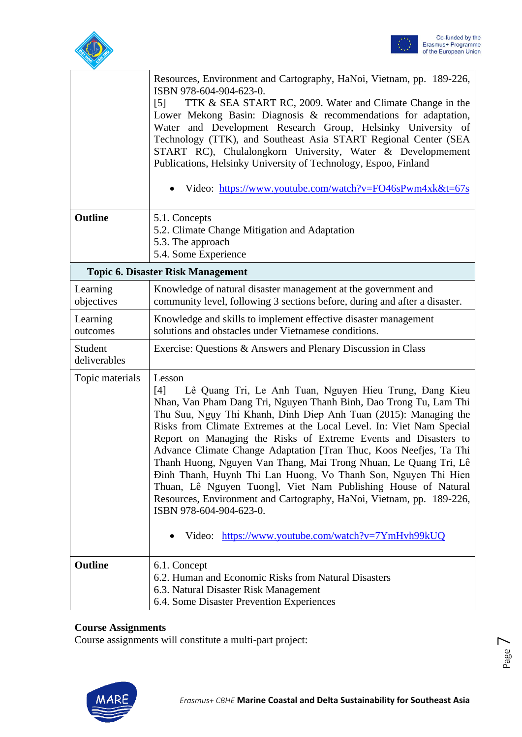



|                                          | Resources, Environment and Cartography, HaNoi, Vietnam, pp. 189-226,<br>ISBN 978-604-904-623-0.<br>TTK & SEA START RC, 2009. Water and Climate Change in the<br>$\lceil 5 \rceil$<br>Lower Mekong Basin: Diagnosis & recommendations for adaptation,<br>Water and Development Research Group, Helsinky University of<br>Technology (TTK), and Southeast Asia START Regional Center (SEA<br>START RC), Chulalongkorn University, Water & Developmement<br>Publications, Helsinky University of Technology, Espoo, Finland<br>Video: https://www.youtube.com/watch?v=FO46sPwm4xk&t=67s                                                                                                                                                                                                               |
|------------------------------------------|----------------------------------------------------------------------------------------------------------------------------------------------------------------------------------------------------------------------------------------------------------------------------------------------------------------------------------------------------------------------------------------------------------------------------------------------------------------------------------------------------------------------------------------------------------------------------------------------------------------------------------------------------------------------------------------------------------------------------------------------------------------------------------------------------|
| <b>Outline</b>                           | 5.1. Concepts<br>5.2. Climate Change Mitigation and Adaptation<br>5.3. The approach<br>5.4. Some Experience                                                                                                                                                                                                                                                                                                                                                                                                                                                                                                                                                                                                                                                                                        |
| <b>Topic 6. Disaster Risk Management</b> |                                                                                                                                                                                                                                                                                                                                                                                                                                                                                                                                                                                                                                                                                                                                                                                                    |
| Learning<br>objectives                   | Knowledge of natural disaster management at the government and<br>community level, following 3 sections before, during and after a disaster.                                                                                                                                                                                                                                                                                                                                                                                                                                                                                                                                                                                                                                                       |
| Learning<br>outcomes                     | Knowledge and skills to implement effective disaster management<br>solutions and obstacles under Vietnamese conditions.                                                                                                                                                                                                                                                                                                                                                                                                                                                                                                                                                                                                                                                                            |
| Student<br>deliverables                  | Exercise: Questions & Answers and Plenary Discussion in Class                                                                                                                                                                                                                                                                                                                                                                                                                                                                                                                                                                                                                                                                                                                                      |
| Topic materials                          | Lesson<br>Lê Quang Tri, Le Anh Tuan, Nguyen Hieu Trung, Đang Kieu<br>[4]<br>Nhan, Van Pham Dang Tri, Nguyen Thanh Binh, Dao Trong Tu, Lam Thi<br>Thu Suu, Ngụy Thi Khanh, Dinh Diep Anh Tuan (2015): Managing the<br>Risks from Climate Extremes at the Local Level. In: Viet Nam Special<br>Report on Managing the Risks of Extreme Events and Disasters to<br>Advance Climate Change Adaptation [Tran Thuc, Koos Neefjes, Ta Thi<br>Thanh Huong, Nguyen Van Thang, Mai Trong Nhuan, Le Quang Tri, Lê<br>Đinh Thanh, Huynh Thi Lan Huong, Vo Thanh Son, Nguyen Thi Hien<br>Thuan, Lê Nguyen Tuong], Viet Nam Publishing House of Natural<br>Resources, Environment and Cartography, HaNoi, Vietnam, pp. 189-226,<br>ISBN 978-604-904-623-0.<br>Video: https://www.youtube.com/watch?v=7YmHvh99kUQ |
|                                          |                                                                                                                                                                                                                                                                                                                                                                                                                                                                                                                                                                                                                                                                                                                                                                                                    |
| Outline                                  | 6.1. Concept<br>6.2. Human and Economic Risks from Natural Disasters<br>6.3. Natural Disaster Risk Management<br>6.4. Some Disaster Prevention Experiences                                                                                                                                                                                                                                                                                                                                                                                                                                                                                                                                                                                                                                         |

### **Course Assignments**

Course assignments will constitute a multi-part project:



Page

 $\overline{\phantom{1}}$